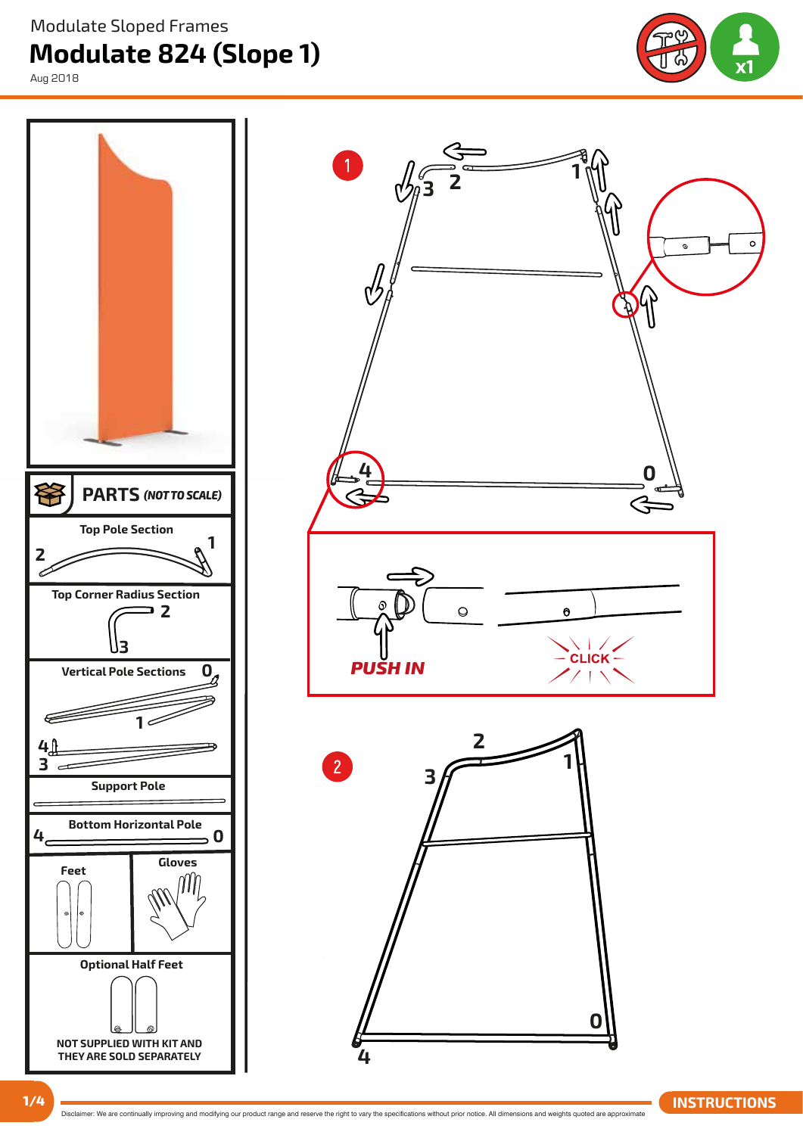Modulate Sloped Frames

**Modulate 824 (Slope 1)** 

Aug 2018





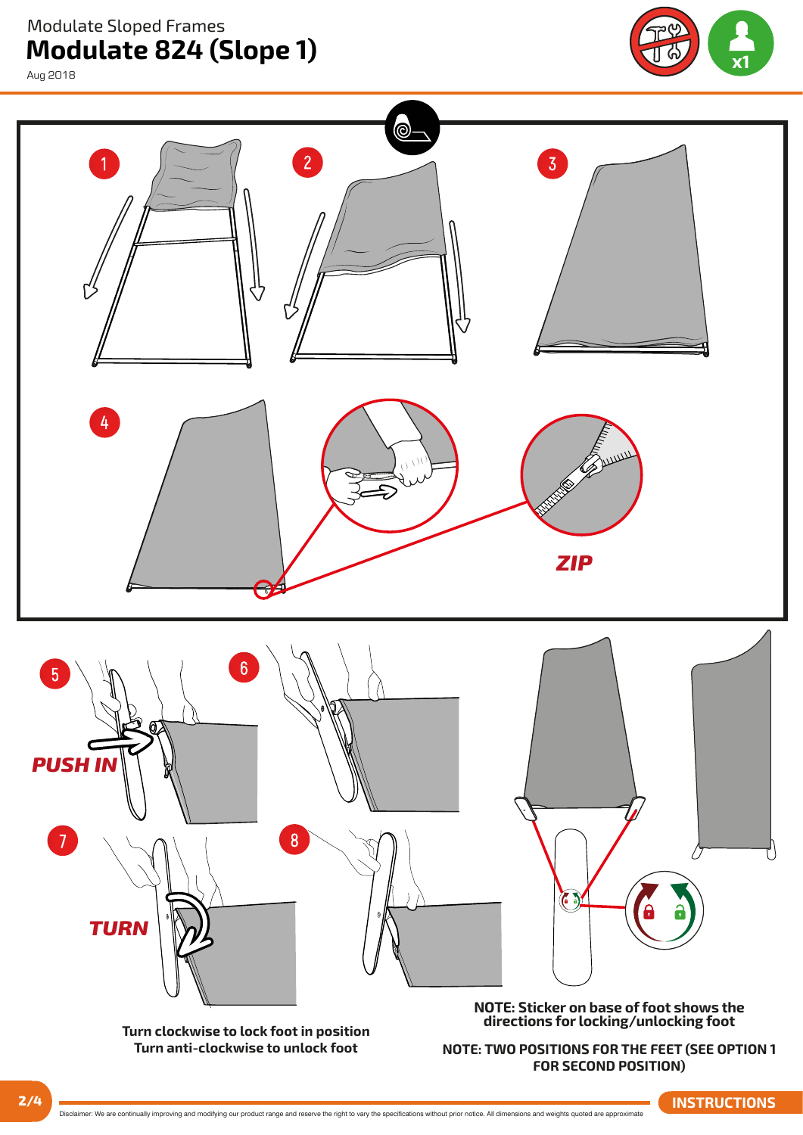**Modulate 824 (Slope 1)** Modulate Sloped Frames

Aug 2018





Disclaimer: We are continually improving and modifying our product range and reserve the right to vary the specifications without prior notice. All dimensions and weights quoted are approximate **2/4 INSTRUCTIONS**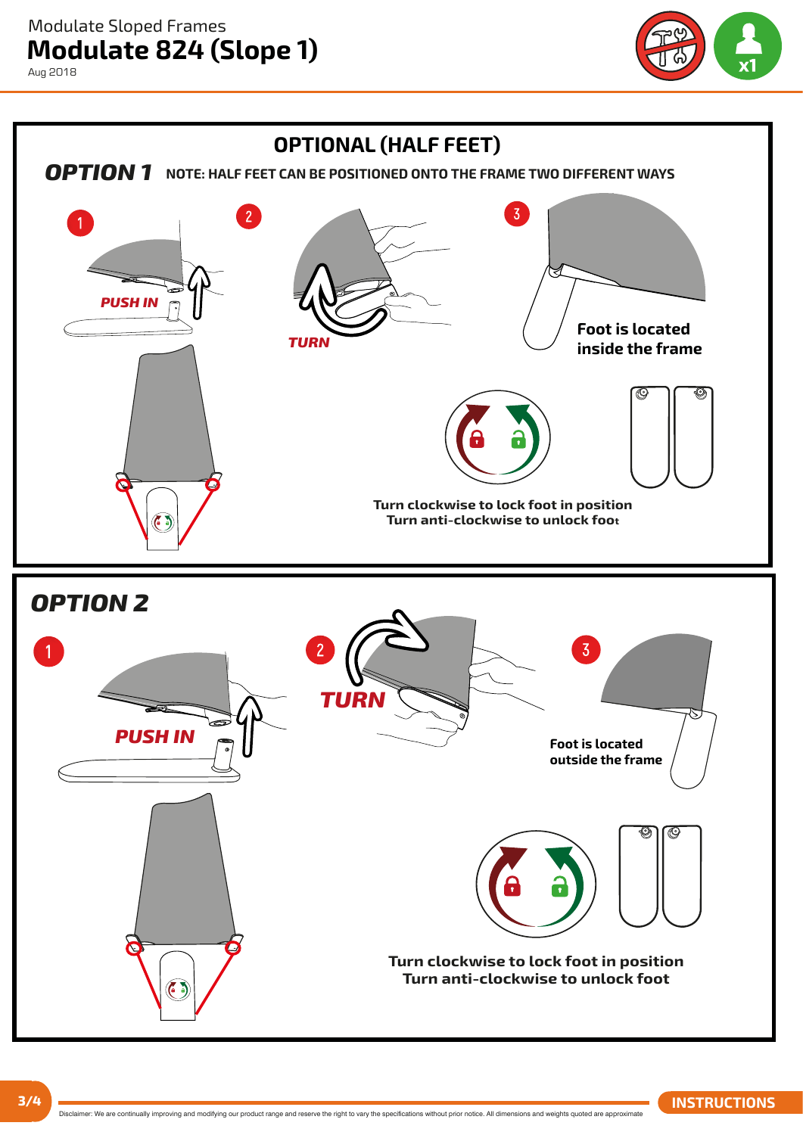